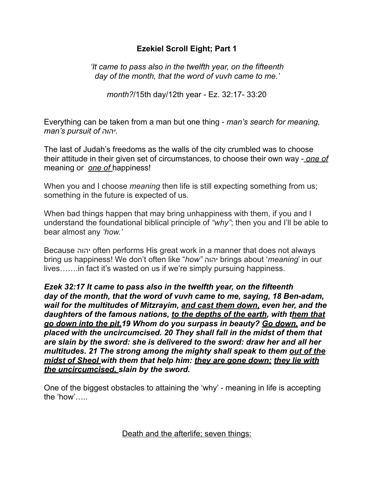## **Ezekiel Scroll Eight; Part 1**

*'It came to pass also in the twelfth year, on the fifteenth day of the month, that the word of vuvh came to me.'* 

*month?*/15th day/12th year - Ez. 32:17- 33:20

Everything can be taken from a man but one thing - *man's search for meaning, man's pursuit of יהוה.* 

The last of Judah's freedoms as the walls of the city crumbled was to choose their attitude in their given set of circumstances, to choose their own way - *one of*  meaning or *one of* happiness!

When you and I choose *meaning* then life is still expecting something from us; something in the future is expected of us.

When bad things happen that may bring unhappiness with them, if you and I understand the foundational biblical principle of *"why"*; then you and I'll be able to bear almost any *'how.'* 

Because יהוה often performs His great work in a manner that does not always bring us happiness! We don't often like "*how"* יהוה brings about '*meaning*' in our lives…….in fact it's wasted on us if we're simply pursuing happiness.

*Ezek 32:17 It came to pass also in the twelfth year, on the fifteenth day of the month, that the word of vuvh came to me, saying, 18 Ben-adam, wail for the multitudes of Mitzrayim, and cast them down, even her, and the daughters of the famous nations, to the depths of the earth, with them that go down into the pit.19 Whom do you surpass in beauty? Go down, and be placed with the uncircumcised. 20 They shall fall in the midst of them that are slain by the sword: she is delivered to the sword: draw her and all her multitudes. 21 The strong among the mighty shall speak to them out of the midst of Sheol with them that help him: they are gone down; they lie with the uncircumcised, slain by the sword.* 

One of the biggest obstacles to attaining the 'why' - meaning in life is accepting the 'how'…..

Death and the afterlife; seven things: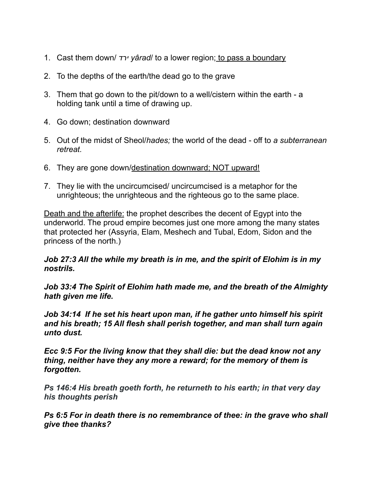- 1. Cast them down/ *ירד yârad*/ to a lower region; to pass a boundary
- 2. To the depths of the earth/the dead go to the grave
- 3. Them that go down to the pit/down to a well/cistern within the earth a holding tank until a time of drawing up.
- 4. Go down; destination downward
- 5. Out of the midst of Sheol/*hades;* the world of the dead off to *a subterranean retreat.*
- 6. They are gone down/destination downward; NOT upward!
- 7. They lie with the uncircumcised/ uncircumcised is a metaphor for the unrighteous; the unrighteous and the righteous go to the same place.

Death and the afterlife: the prophet describes the decent of Egypt into the underworld. The proud empire becomes just one more among the many states that protected her (Assyria, Elam, Meshech and Tubal, Edom, Sidon and the princess of the north.)

#### *Job 27:3 All the while my breath is in me, and the spirit of Elohim is in my nostrils.*

*Job 33:4 The Spirit of Elohim hath made me, and the breath of the Almighty hath given me life.* 

*Job 34:14 If he set his heart upon man, if he gather unto himself his spirit and his breath; 15 All flesh shall perish together, and man shall turn again unto dust.* 

*Ecc 9:5 For the living know that they shall die: but the dead know not any thing, neither have they any more a reward; for the memory of them is forgotten.* 

*Ps 146:4 His breath goeth forth, he returneth to his earth; in that very day his thoughts perish* 

*Ps 6:5 For in death there is no remembrance of thee: in the grave who shall give thee thanks?*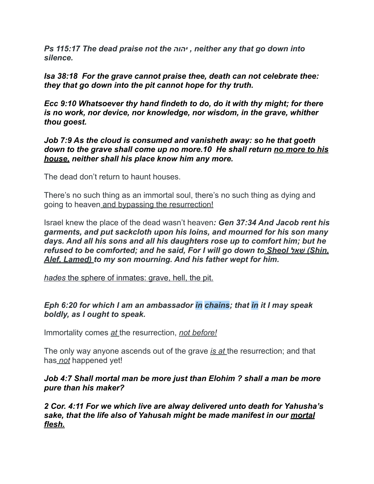*Ps 115:17 The dead praise not the יהוה , neither any that go down into silence.* 

*Isa 38:18 For the grave cannot praise thee, death can not celebrate thee: they that go down into the pit cannot hope for thy truth.* 

*Ecc 9:10 Whatsoever thy hand findeth to do, do it with thy might; for there is no work, nor device, nor knowledge, nor wisdom, in the grave, whither thou goest.* 

#### *Job 7:9 As the cloud is consumed and vanisheth away: so he that goeth down to the grave shall come up no more.10 He shall return no more to his house, neither shall his place know him any more.*

The dead don't return to haunt houses.

There's no such thing as an immortal soul, there's no such thing as dying and going to heaven and bypassing the resurrection!

Israel knew the place of the dead wasn't heaven*: Gen 37:34 And Jacob rent his garments, and put sackcloth upon his loins, and mourned for his son many days. And all his sons and all his daughters rose up to comfort him; but he refused to be comforted; and he said, For I will go down to Sheol שׁאל) Shin, Alef, Lamed) to my son mourning. And his father wept for him.* 

*hades* the sphere of inmates: grave, hell, the pit.

## *Eph 6:20 for which I am an ambassador in chains; that in it I may speak boldly, as I ought to speak.*

Immortality comes *at* the resurrection, *not before!* 

The only way anyone ascends out of the grave *is at* the resurrection; and that has *not* happened yet!

*Job 4:7 Shall mortal man be more just than Elohim ? shall a man be more pure than his maker?* 

*2 Cor. 4:11 For we which live are alway delivered unto death for Yahusha's sake, that the life also of Yahusah might be made manifest in our mortal flesh.*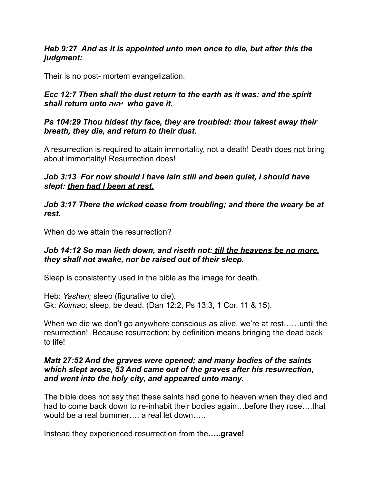#### *Heb 9:27 And as it is appointed unto men once to die, but after this the judgment:*

Their is no post- mortem evangelization.

### *Ecc 12:7 Then shall the dust return to the earth as it was: and the spirit shall return unto יהוה who gave it.*

### *Ps 104:29 Thou hidest thy face, they are troubled: thou takest away their breath, they die, and return to their dust.*

A resurrection is required to attain immortality, not a death! Death does not bring about immortality! Resurrection does!

## *Job 3:13 For now should I have lain still and been quiet, I should have slept: then had I been at rest.*

*Job 3:17 There the wicked cease from troubling; and there the weary be at rest.* 

When do we attain the resurrection?

### *Job 14:12 So man lieth down, and riseth not: till the heavens be no more, they shall not awake, nor be raised out of their sleep.*

Sleep is consistently used in the bible as the image for death.

Heb: *Yashen;* sleep (figurative to die). Gk: *Koimao;* sleep, be dead. (Dan 12:2, Ps 13:3, 1 Cor. 11 & 15).

When we die we don't go anywhere conscious as alive, we're at rest……until the resurrection! Because resurrection; by definition means bringing the dead back to life!

#### *Matt 27:52 And the graves were opened; and many bodies of the saints which slept arose, 53 And came out of the graves after his resurrection, and went into the holy city, and appeared unto many.*

The bible does not say that these saints had gone to heaven when they died and had to come back down to re-inhabit their bodies again…before they rose….that would be a real bummer…. a real let down…..

Instead they experienced resurrection from the**…..grave!**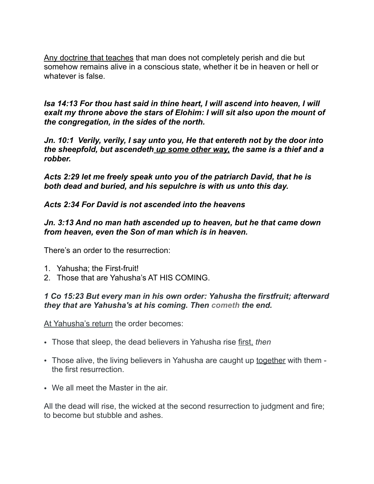Any doctrine that teaches that man does not completely perish and die but somehow remains alive in a conscious state, whether it be in heaven or hell or whatever is false.

*Isa 14:13 For thou hast said in thine heart, I will ascend into heaven, I will exalt my throne above the stars of Elohim: I will sit also upon the mount of the congregation, in the sides of the north.* 

*Jn. 10:1 Verily, verily, I say unto you, He that entereth not by the door into the sheepfold, but ascendeth up some other way, the same is a thief and a robber.* 

*Acts 2:29 let me freely speak unto you of the patriarch David, that he is both dead and buried, and his sepulchre is with us unto this day.* 

*Acts 2:34 For David is not ascended into the heavens* 

*Jn. 3:13 And no man hath ascended up to heaven, but he that came down from heaven, even the Son of man which is in heaven.* 

There's an order to the resurrection:

- 1. Yahusha; the First-fruit!
- 2. Those that are Yahusha's AT HIS COMING.

### *1 Co 15:23 But every man in his own order: Yahusha the firstfruit; afterward they that are Yahusha's at his coming. Then cometh the end.*

At Yahusha's return the order becomes:

- Those that sleep, the dead believers in Yahusha rise first, *then*
- Those alive, the living believers in Yahusha are caught up together with them the first resurrection.
- We all meet the Master in the air.

All the dead will rise, the wicked at the second resurrection to judgment and fire; to become but stubble and ashes.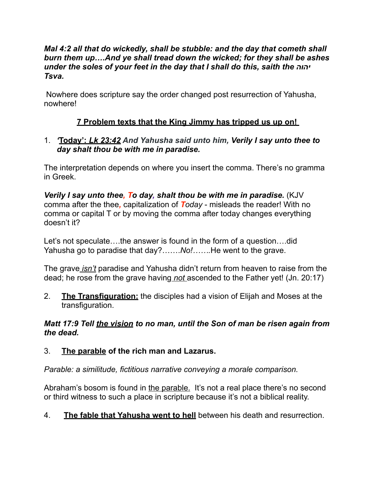#### *Mal 4:2 all that do wickedly, shall be stubble: and the day that cometh shall burn them up….And ye shall tread down the wicked; for they shall be ashes under the soles of your feet in the day that I shall do this, saith the יהוה Tsva.*

 Nowhere does scripture say the order changed post resurrection of Yahusha, nowhere!

## **7 Problem texts that the King Jimmy has tripped us up on!**

## 1. *'***Today':** *Lk 23:42 And Yahusha said unto him, Verily I say unto thee to day shalt thou be with me in paradise.*

The interpretation depends on where you insert the comma. There's no gramma in Greek.

*Verily I say unto thee, To day, shalt thou be with me in paradise.* (KJV comma after the thee*,* capitalization of *Today* - misleads the reader! With no comma or capital T or by moving the comma after today changes everything doesn't it?

Let's not speculate….the answer is found in the form of a question….did Yahusha go to paradise that day?…….*No!…….*He went to the grave.

The grave *isn't* paradise and Yahusha didn't return from heaven to raise from the dead; he rose from the grave having *not* ascended to the Father yet! (Jn. 20:17)

2. **The Transfiguration:** the disciples had a vision of Elijah and Moses at the transfiguration.

*Matt 17:9 Tell the vision to no man, until the Son of man be risen again from the dead.* 

## 3. **The parable of the rich man and Lazarus.**

*Parable: a similitude, fictitious narrative conveying a morale comparison.* 

Abraham's bosom is found in the parable. It's not a real place there's no second or third witness to such a place in scripture because it's not a biblical reality.

4. **The fable that Yahusha went to hell** between his death and resurrection.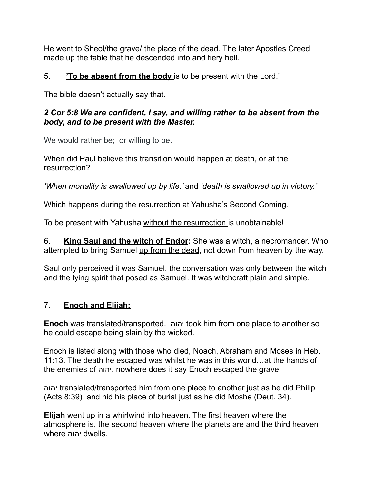He went to Sheol/the grave/ the place of the dead. The later Apostles Creed made up the fable that he descended into and fiery hell.

## 5. **'To be absent from the body** is to be present with the Lord.'

The bible doesn't actually say that.

## *2 Cor 5:8 We are confident, I say, and willing rather to be absent from the body, and to be present with the Master.*

We would rather be; or willing to be.

When did Paul believe this transition would happen at death, or at the resurrection?

*'When mortality is swallowed up by life.'* and *'death is swallowed up in victory.'* 

Which happens during the resurrection at Yahusha's Second Coming.

To be present with Yahusha without the resurrection is unobtainable!

6. **King Saul and the witch of Endor:** She was a witch, a necromancer. Who attempted to bring Samuel up from the dead, not down from heaven by the way.

Saul only perceived it was Samuel, the conversation was only between the witch and the lying spirit that posed as Samuel. It was witchcraft plain and simple.

# 7. **Enoch and Elijah:**

**Enoch** was translated/transported. יהוה took him from one place to another so he could escape being slain by the wicked.

Enoch is listed along with those who died, Noach, Abraham and Moses in Heb. 11:13. The death he escaped was whilst he was in this world…at the hands of the enemies of יהוה, nowhere does it say Enoch escaped the grave.

יהוה translated/transported him from one place to another just as he did Philip (Acts 8:39) and hid his place of burial just as he did Moshe (Deut. 34).

**Elijah** went up in a whirlwind into heaven. The first heaven where the atmosphere is, the second heaven where the planets are and the third heaven where יהוה dwells.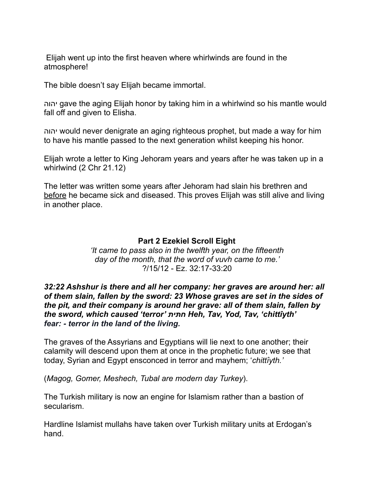Elijah went up into the first heaven where whirlwinds are found in the atmosphere!

The bible doesn't say Elijah became immortal.

יהוה gave the aging Elijah honor by taking him in a whirlwind so his mantle would fall off and given to Elisha.

יהוה would never denigrate an aging righteous prophet, but made a way for him to have his mantle passed to the next generation whilst keeping his honor.

Elijah wrote a letter to King Jehoram years and years after he was taken up in a whirlwind (2 Chr 21.12)

The letter was written some years after Jehoram had slain his brethren and before he became sick and diseased. This proves Elijah was still alive and living in another place.

#### **Part 2 Ezekiel Scroll Eight**

*'It came to pass also in the twelfth year, on the fifteenth day of the month, that the word of vuvh came to me.'*  ?/15/12 - Ez. 32:17-33:20

*32:22 Ashshur is there and all her company: her graves are around her: all of them slain, fallen by the sword: 23 Whose graves are set in the sides of the pit, and their company is around her grave: all of them slain, fallen by the sword, which caused 'terror' חתּית Heh, Tav, Yod, Tav, 'chittı̂yth' fear: - terror in the land of the living.* 

The graves of the Assyrians and Egyptians will lie next to one another; their calamity will descend upon them at once in the prophetic future; we see that today, Syrian and Egypt ensconced in terror and mayhem; '*chittı̂yth.'*

(*Magog, Gomer, Meshech, Tubal are modern day Turkey*).

The Turkish military is now an engine for Islamism rather than a bastion of secularism.

Hardline Islamist mullahs have taken over Turkish military units at Erdogan's hand.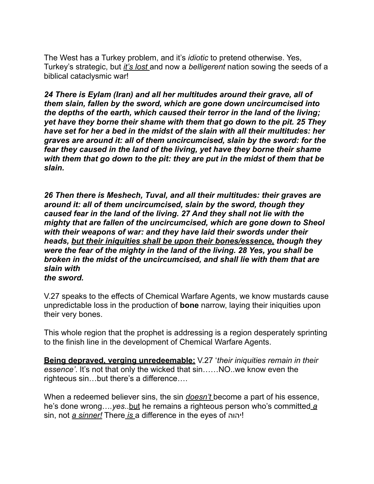The West has a Turkey problem, and it's *idiotic* to pretend otherwise. Yes, Turkey's strategic, but *it's lost* and now a *belligerent* nation sowing the seeds of a biblical cataclysmic war!

*24 There is Eylam (Iran) and all her multitudes around their grave, all of them slain, fallen by the sword, which are gone down uncircumcised into the depths of the earth, which caused their terror in the land of the living; yet have they borne their shame with them that go down to the pit. 25 They have set for her a bed in the midst of the slain with all their multitudes: her graves are around it: all of them uncircumcised, slain by the sword: for the fear they caused in the land of the living, yet have they borne their shame with them that go down to the pit: they are put in the midst of them that be slain.* 

*26 Then there is Meshech, Tuval, and all their multitudes: their graves are around it: all of them uncircumcised, slain by the sword, though they caused fear in the land of the living. 27 And they shall not lie with the mighty that are fallen of the uncircumcised, which are gone down to Sheol with their weapons of war: and they have laid their swords under their heads, but their iniquities shall be upon their bones/essence, though they were the fear of the mighty in the land of the living. 28 Yes, you shall be broken in the midst of the uncircumcised, and shall lie with them that are slain with the sword.* 

V.27 speaks to the effects of Chemical Warfare Agents, we know mustards cause unpredictable loss in the production of **bone** narrow, laying their iniquities upon their very bones.

This whole region that the prophet is addressing is a region desperately sprinting to the finish line in the development of Chemical Warfare Agents.

**Being depraved, verging unredeemable:** V.27 '*their iniquities remain in their essence'*. It's not that only the wicked that sin……NO..we know even the righteous sin…but there's a difference….

When a redeemed believer sins, the sin *doesn't* become a part of his essence, he's done wrong…*.yes*..but he remains a righteous person who's committed *a*  sin, not *a sinner!* There *is* a difference in the eyes of יהוה !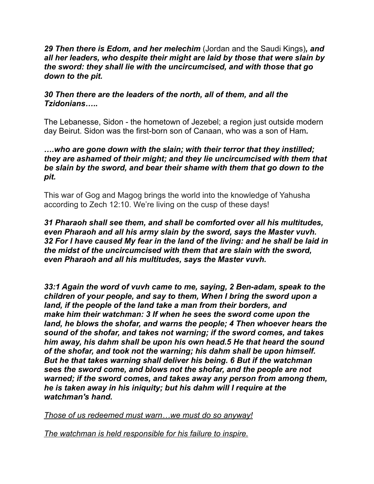*29 Then there is Edom, and her melechim* (Jordan and the Saudi Kings)*, and all her leaders, who despite their might are laid by those that were slain by the sword: they shall lie with the uncircumcised, and with those that go down to the pit.* 

#### *30 Then there are the leaders of the north, all of them, and all the Tzidonians…..*

The Lebanesse, Sidon - the hometown of Jezebel; a region just outside modern day Beirut. Sidon was the first-born son of [Canaan](https://en.wikipedia.org/wiki/Canaan_(biblical_figure)), who was a son of [Ham](https://en.wikipedia.org/wiki/Ham_(son_of_Noah))*.* 

#### *….who are gone down with the slain; with their terror that they instilled; they are ashamed of their might; and they lie uncircumcised with them that be slain by the sword, and bear their shame with them that go down to the pit.*

This war of Gog and Magog brings the world into the knowledge of Yahusha according to Zech 12:10. We're living on the cusp of these days!

*31 Pharaoh shall see them, and shall be comforted over all his multitudes, even Pharaoh and all his army slain by the sword, says the Master vuvh. 32 For I have caused My fear in the land of the living: and he shall be laid in the midst of the uncircumcised with them that are slain with the sword, even Pharaoh and all his multitudes, says the Master vuvh.* 

*33:1 Again the word of vuvh came to me, saying, 2 Ben-adam, speak to the children of your people, and say to them, When I bring the sword upon a land, if the people of the land take a man from their borders, and make him their watchman: 3 If when he sees the sword come upon the*  land, he blows the shofar, and warns the people; 4 Then whoever hears the *sound of the shofar, and takes not warning; if the sword comes, and takes him away, his dahm shall be upon his own head.5 He that heard the sound of the shofar, and took not the warning; his dahm shall be upon himself. But he that takes warning shall deliver his being. 6 But if the watchman sees the sword come, and blows not the shofar, and the people are not warned; if the sword comes, and takes away any person from among them, he is taken away in his iniquity; but his dahm will I require at the watchman's hand.* 

*Those of us redeemed must warn…we must do so anyway!* 

*The watchman is held responsible for his failure to inspire.*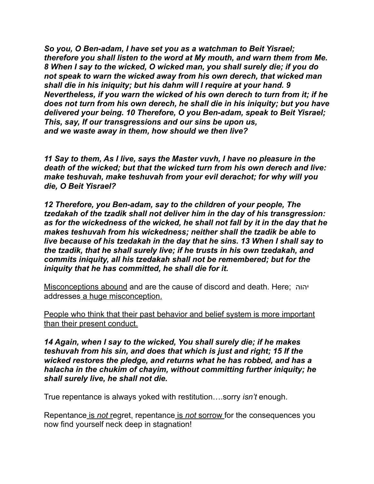*So you, O Ben-adam, I have set you as a watchman to Beit Yisrael; therefore you shall listen to the word at My mouth, and warn them from Me. 8 When I say to the wicked, O wicked man, you shall surely die; if you do not speak to warn the wicked away from his own derech, that wicked man shall die in his iniquity; but his dahm will I require at your hand. 9 Nevertheless, if you warn the wicked of his own derech to turn from it; if he does not turn from his own derech, he shall die in his iniquity; but you have delivered your being. 10 Therefore, O you Ben-adam, speak to Beit Yisrael; This, say, If our transgressions and our sins be upon us, and we waste away in them, how should we then live?* 

*11 Say to them, As I live, says the Master vuvh, I have no pleasure in the death of the wicked; but that the wicked turn from his own derech and live: make teshuvah, make teshuvah from your evil derachot; for why will you die, O Beit Yisrael?* 

*12 Therefore, you Ben-adam, say to the children of your people, The tzedakah of the tzadik shall not deliver him in the day of his transgression: as for the wickedness of the wicked, he shall not fall by it in the day that he makes teshuvah from his wickedness; neither shall the tzadik be able to live because of his tzedakah in the day that he sins. 13 When I shall say to the tzadik, that he shall surely live; if he trusts in his own tzedakah, and commits iniquity, all his tzedakah shall not be remembered; but for the iniquity that he has committed, he shall die for it.* 

Misconceptions abound and are the cause of discord and death. Here; יהוה addresses a huge misconception.

People who think that their past behavior and belief system is more important than their present conduct.

*14 Again, when I say to the wicked, You shall surely die; if he makes teshuvah from his sin, and does that which is just and right; 15 If the wicked restores the pledge, and returns what he has robbed, and has a halacha in the chukim of chayim, without committing further iniquity; he shall surely live, he shall not die.* 

True repentance is always yoked with restitution….sorry *isn't* enough.

Repentance is *not* regret, repentance is *not* sorrow for the consequences you now find yourself neck deep in stagnation!